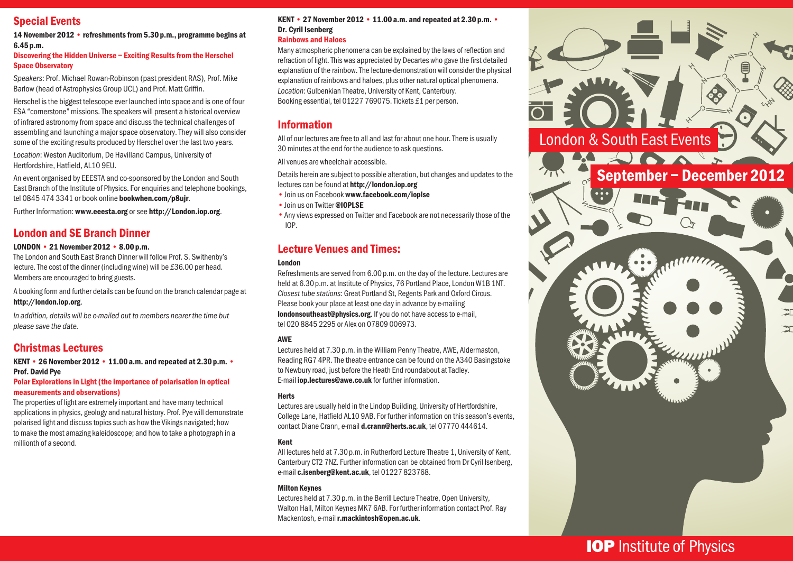## Special Events

14 November 2012 • refreshments from 5.30 p.m., programme begins at 6.45p.m.

#### Discovering the Hidden Universe – Exciting Results from the Herschel Space Observatory

*Speakers*: Prof. Michael Rowan-Robinson (past president RAS), Prof. Mike Barlow (head of Astrophysics Group UCL) and Prof. Matt Griffin.

Herschel is the biggest telescope ever launched into space and is one of four ESA "cornerstone" missions. The speakers will present a historical overview of infrared astronomy from space and discuss the technical challenges of assembling and launching a major space observatory. They will also consider some of the exciting results produced by Herschel over the last two years.

*Location*: Weston Auditorium, De Havilland Campus, University of Hertfordshire, Hatfield, AL10 9EU.

An event organised by EEESTA and co-sponsored by the London and South East Branch of the Institute of Physics. For enquiries and telephone bookings, tel 0845 474 3341 or book online bookwhen.com/p8ujr.

Further Information: www.eeesta.org or see http://London.iop.org.

## London and SE Branch Dinner

#### LONDON • 21 November 2012 • 8.00p.m.

The London and South East Branch Dinner will follow Prof. S. Swithenby's lecture. The cost of the dinner (including wine) will be £36.00 per head. Members are encouraged to bring guests.

A booking form and further details can be found on the branch calendar page at http://london.iop.org.

*In addition, details will be e-mailed out to members nearer the time but please save the date.*

## Christmas Lectures

KENT • 26 November 2012 • 11.00a.m. and repeated at 2.30p.m. • Prof. David Pye

#### Polar Explorations in Light (the importance of polarisation in optical measurements and observations)

The properties of light are extremely important and have many technical applications in physics, geology and natural history. Prof. Pye will demonstrate polarised light and discuss topics such as how the Vikings navigated; how to make the most amazing kaleidoscope; and how to take a photograph in a millionth of a second.

#### KENT • 27 November 2012 • 11.00a.m. and repeated at 2.30p.m. • Dr. Cyril Isenberg

#### Rainbows and Haloes

Many atmospheric phenomena can be explained by the laws of reflection and refraction of light. This was appreciated by Decartes who gave the first detailed explanation of the rainbow. The lecture-demonstration will consider the physical explanation of rainbows and haloes, plus other natural optical phenomena. *Location*: Gulbenkian Theatre, University of Kent, Canterbury. Booking essential, tel 01227 769075. Tickets £1 per person.

### Information

All of our lectures are free to all and last for about one hour. There is usually 30 minutes at the end for the audience to ask questions.

All venues are wheelchair accessible.

Details herein are subject to possible alteration, but changes and updates to the lectures can be found at http://london.iop.org

- •Join us on Facebook www.facebook.com/ioplse
- •Join us on Twitter @IOPLSE
- •Any views expressed on Twitter and Facebook are not necessarily those of the IOP.

## Lecture Venues and Times:

#### London

Refreshments are served from 6.00 p.m. on the day of the lecture. Lectures are held at 6.30 p.m. at Institute of Physics, 76 Portland Place, London W1B 1NT. *Closest tube stations*: Great Portland St, Regents Park and Oxford Circus. Please book your place at least one day in advance by e-mailing londonsoutheast@physics.org. If you do not have access to e-mail, tel 020 8845 2295 or Alex on 07809 006973.

#### AWE

Lectures held at 7.30 p.m. in the William Penny Theatre, AWE, Aldermaston, Reading RG7 4PR. The theatre entrance can be found on the A340 Basingstoke to Newbury road, just before the Heath End roundabout at Tadley. E-mail iop.lectures@awe.co.uk for further information.

#### Herts

Lectures are usually held in the Lindop Building, University of Hertfordshire, College Lane, Hatfield AL10 9AB. For further information on this season's events, contact Diane Crann, e-mail d.crann@herts.ac.uk, tel 07770 444614.

#### Kent

All lectures held at 7.30 p.m. in Rutherford Lecture Theatre 1, University of Kent, Canterbury CT2 7NZ. Further information can be obtained from Dr Cyril Isenberg, e-mail c.isenberg@kent.ac.uk, tel 01227 823768.

#### Milton Keynes

Lectures held at 7.30 p.m. in the Berrill Lecture Theatre, Open University, Walton Hall, Milton Keynes MK7 6AB. For further information contact Prof. Ray Mackentosh, e-mail r.mackintosh@open.ac.uk.